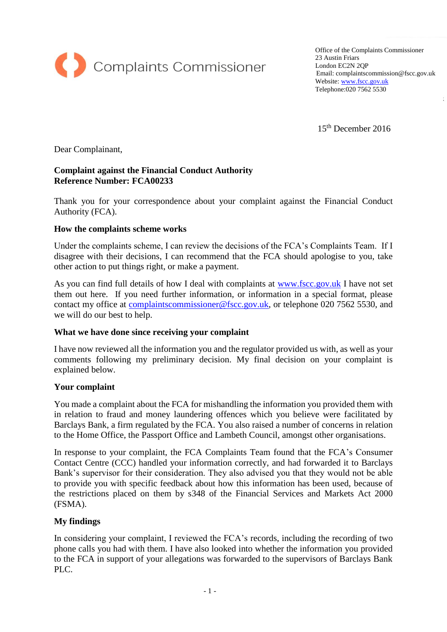

Office of the Complaints Commissioner 23 Austin Friars London EC2N 2QP Email: complaintscommission@fscc.gov.uk Website[: www.fscc.gov.uk](http://www.fscc.gov.uk/) Telephone:020 7562 5530

15th December 2016

Dear Complainant,

# **Complaint against the Financial Conduct Authority Reference Number: FCA00233**

Thank you for your correspondence about your complaint against the Financial Conduct Authority (FCA).

## **How the complaints scheme works**

Under the complaints scheme, I can review the decisions of the FCA's Complaints Team. If I disagree with their decisions, I can recommend that the FCA should apologise to you, take other action to put things right, or make a payment.

As you can find full details of how I deal with complaints at [www.fscc.gov.uk](http://www.fscc.gov.uk/) I have not set them out here. If you need further information, or information in a special format, please contact my office at [complaintscommissioner@fscc.gov.uk,](mailto:complaintscommissioner@fscc.gov.uk) or telephone 020 7562 5530, and we will do our best to help.

### **What we have done since receiving your complaint**

I have now reviewed all the information you and the regulator provided us with, as well as your comments following my preliminary decision. My final decision on your complaint is explained below.

### **Your complaint**

You made a complaint about the FCA for mishandling the information you provided them with in relation to fraud and money laundering offences which you believe were facilitated by Barclays Bank, a firm regulated by the FCA. You also raised a number of concerns in relation to the Home Office, the Passport Office and Lambeth Council, amongst other organisations.

In response to your complaint, the FCA Complaints Team found that the FCA's Consumer Contact Centre (CCC) handled your information correctly, and had forwarded it to Barclays Bank's supervisor for their consideration. They also advised you that they would not be able to provide you with specific feedback about how this information has been used, because of the restrictions placed on them by s348 of the Financial Services and Markets Act 2000 (FSMA).

### **My findings**

In considering your complaint, I reviewed the FCA's records, including the recording of two phone calls you had with them. I have also looked into whether the information you provided to the FCA in support of your allegations was forwarded to the supervisors of Barclays Bank PLC.